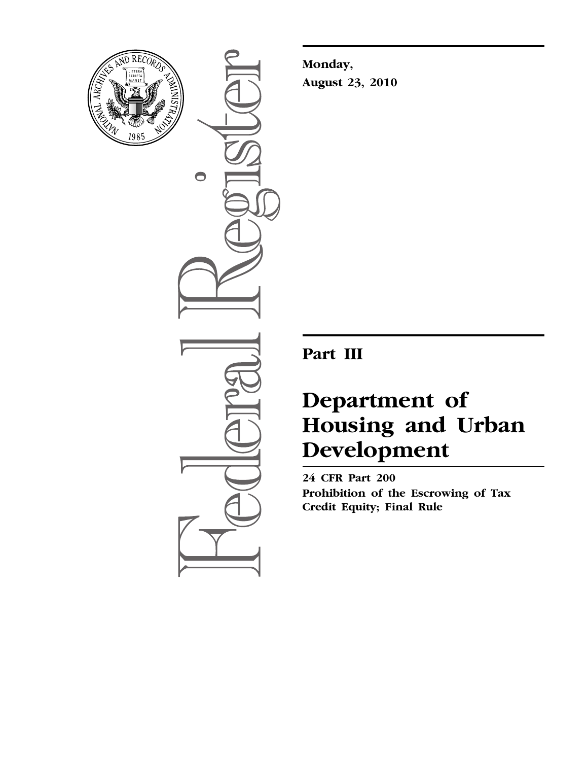

 $\bullet$ 

**Monday, August 23, 2010** 

**Part III** 

# **Department of Housing and Urban Development**

**24 CFR Part 200 Prohibition of the Escrowing of Tax Credit Equity; Final Rule**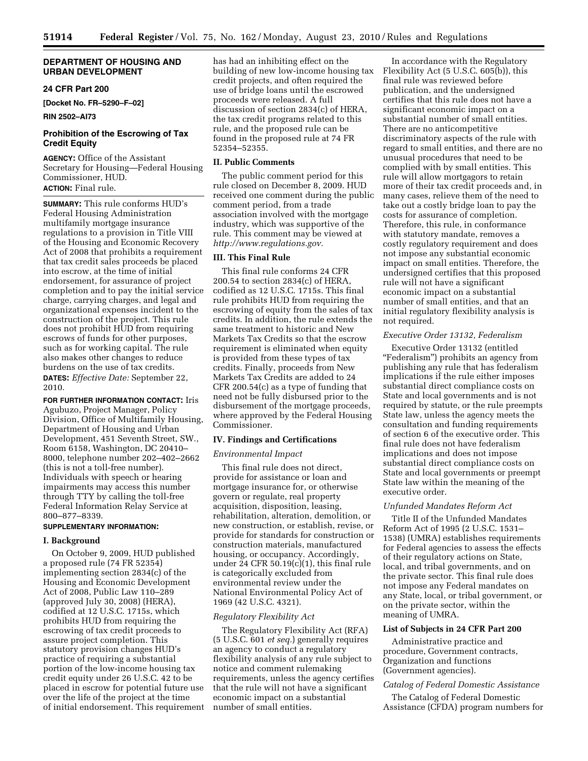## **DEPARTMENT OF HOUSING AND URBAN DEVELOPMENT**

# **24 CFR Part 200**

**[Docket No. FR–5290–F–02]** 

**RIN 2502–AI73** 

# **Prohibition of the Escrowing of Tax Credit Equity**

**AGENCY:** Office of the Assistant Secretary for Housing—Federal Housing Commissioner, HUD. **ACTION:** Final rule.

**SUMMARY:** This rule conforms HUD's Federal Housing Administration multifamily mortgage insurance regulations to a provision in Title VIII of the Housing and Economic Recovery Act of 2008 that prohibits a requirement that tax credit sales proceeds be placed into escrow, at the time of initial endorsement, for assurance of project completion and to pay the initial service charge, carrying charges, and legal and organizational expenses incident to the construction of the project. This rule does not prohibit HUD from requiring escrows of funds for other purposes, such as for working capital. The rule also makes other changes to reduce burdens on the use of tax credits. **DATES:** *Effective Date:* September 22, 2010.

**FOR FURTHER INFORMATION CONTACT:** Iris Agubuzo, Project Manager, Policy Division, Office of Multifamily Housing, Department of Housing and Urban Development, 451 Seventh Street, SW., Room 6158, Washington, DC 20410– 8000, telephone number 202–402–2662 (this is not a toll-free number). Individuals with speech or hearing impairments may access this number through TTY by calling the toll-free Federal Information Relay Service at 800–877–8339.

# **SUPPLEMENTARY INFORMATION:**

## **I. Background**

On October 9, 2009, HUD published a proposed rule (74 FR 52354) implementing section 2834(c) of the Housing and Economic Development Act of 2008, Public Law 110–289 (approved July 30, 2008) (HERA), codified at 12 U.S.C. 1715s, which prohibits HUD from requiring the escrowing of tax credit proceeds to assure project completion. This statutory provision changes HUD's practice of requiring a substantial portion of the low-income housing tax credit equity under 26 U.S.C. 42 to be placed in escrow for potential future use over the life of the project at the time of initial endorsement. This requirement has had an inhibiting effect on the building of new low-income housing tax credit projects, and often required the use of bridge loans until the escrowed proceeds were released. A full discussion of section 2834(c) of HERA, the tax credit programs related to this rule, and the proposed rule can be found in the proposed rule at 74 FR 52354–52355.

## **II. Public Comments**

The public comment period for this rule closed on December 8, 2009. HUD received one comment during the public comment period, from a trade association involved with the mortgage industry, which was supportive of the rule. This comment may be viewed at *[http://www.regulations.gov.](http://www.regulations.gov)* 

# **III. This Final Rule**

This final rule conforms 24 CFR 200.54 to section 2834(c) of HERA, codified as 12 U.S.C. 1715s. This final rule prohibits HUD from requiring the escrowing of equity from the sales of tax credits. In addition, the rule extends the same treatment to historic and New Markets Tax Credits so that the escrow requirement is eliminated when equity is provided from these types of tax credits. Finally, proceeds from New Markets Tax Credits are added to 24 CFR 200.54(c) as a type of funding that need not be fully disbursed prior to the disbursement of the mortgage proceeds, where approved by the Federal Housing Commissioner.

## **IV. Findings and Certifications**

#### *Environmental Impact*

This final rule does not direct, provide for assistance or loan and mortgage insurance for, or otherwise govern or regulate, real property acquisition, disposition, leasing, rehabilitation, alteration, demolition, or new construction, or establish, revise, or provide for standards for construction or construction materials, manufactured housing, or occupancy. Accordingly, under 24 CFR 50.19(c)(1), this final rule is categorically excluded from environmental review under the National Environmental Policy Act of 1969 (42 U.S.C. 4321).

# *Regulatory Flexibility Act*

The Regulatory Flexibility Act (RFA) (5 U.S.C. 601 *et seq.*) generally requires an agency to conduct a regulatory flexibility analysis of any rule subject to notice and comment rulemaking requirements, unless the agency certifies that the rule will not have a significant economic impact on a substantial number of small entities.

In accordance with the Regulatory Flexibility Act (5 U.S.C. 605(b)), this final rule was reviewed before publication, and the undersigned certifies that this rule does not have a significant economic impact on a substantial number of small entities. There are no anticompetitive discriminatory aspects of the rule with regard to small entities, and there are no unusual procedures that need to be complied with by small entities. This rule will allow mortgagors to retain more of their tax credit proceeds and, in many cases, relieve them of the need to take out a costly bridge loan to pay the costs for assurance of completion. Therefore, this rule, in conformance with statutory mandate, removes a costly regulatory requirement and does not impose any substantial economic impact on small entities. Therefore, the undersigned certifies that this proposed rule will not have a significant economic impact on a substantial number of small entities, and that an initial regulatory flexibility analysis is not required.

## *Executive Order 13132, Federalism*

Executive Order 13132 (entitled ''Federalism'') prohibits an agency from publishing any rule that has federalism implications if the rule either imposes substantial direct compliance costs on State and local governments and is not required by statute, or the rule preempts State law, unless the agency meets the consultation and funding requirements of section 6 of the executive order. This final rule does not have federalism implications and does not impose substantial direct compliance costs on State and local governments or preempt State law within the meaning of the executive order.

## *Unfunded Mandates Reform Act*

Title II of the Unfunded Mandates Reform Act of 1995 (2 U.S.C. 1531– 1538) (UMRA) establishes requirements for Federal agencies to assess the effects of their regulatory actions on State, local, and tribal governments, and on the private sector. This final rule does not impose any Federal mandates on any State, local, or tribal government, or on the private sector, within the meaning of UMRA.

## **List of Subjects in 24 CFR Part 200**

Administrative practice and procedure, Government contracts, Organization and functions (Government agencies).

# *Catalog of Federal Domestic Assistance*

The Catalog of Federal Domestic Assistance (CFDA) program numbers for